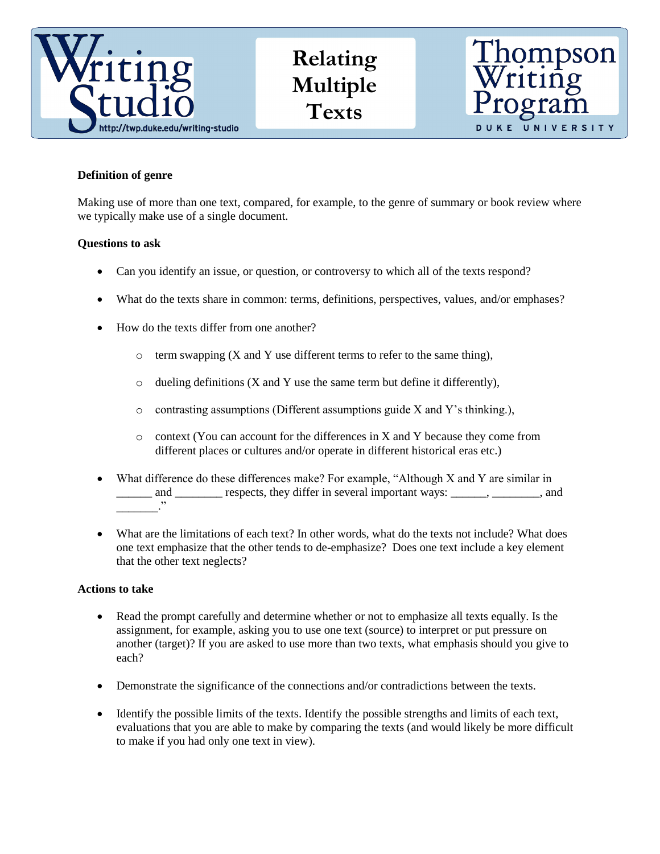

**Relating Multiple Texts**



# **Definition of genre**

Making use of more than one text, compared, for example, to the genre of summary or book review where we typically make use of a single document.

# **Questions to ask**

- Can you identify an issue, or question, or controversy to which all of the texts respond?
- What do the texts share in common: terms, definitions, perspectives, values, and/or emphases?
- How do the texts differ from one another?
	- $\circ$  term swapping (X and Y use different terms to refer to the same thing),
	- $\circ$  dueling definitions (X and Y use the same term but define it differently),
	- o contrasting assumptions (Different assumptions guide X and Y's thinking.),
	- $\circ$  context (You can account for the differences in X and Y because they come from different places or cultures and/or operate in different historical eras etc.)
- What difference do these differences make? For example, "Although X and Y are similar in and <u>external</u> respects, they differ in several important ways: <u>\_\_\_\_</u>, \_\_\_\_\_\_, and  $\overline{\phantom{a}}$
- What are the limitations of each text? In other words, what do the texts not include? What does one text emphasize that the other tends to de-emphasize? Does one text include a key element that the other text neglects?

## **Actions to take**

- Read the prompt carefully and determine whether or not to emphasize all texts equally. Is the assignment, for example, asking you to use one text (source) to interpret or put pressure on another (target)? If you are asked to use more than two texts, what emphasis should you give to each?
- Demonstrate the significance of the connections and/or contradictions between the texts.
- Identify the possible limits of the texts. Identify the possible strengths and limits of each text, evaluations that you are able to make by comparing the texts (and would likely be more difficult to make if you had only one text in view).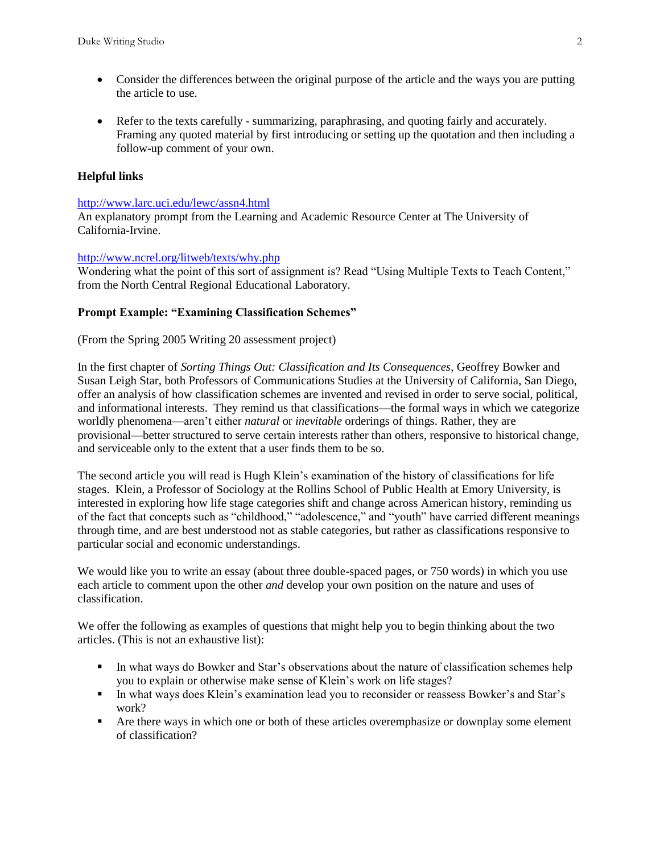- Consider the differences between the original purpose of the article and the ways you are putting the article to use.
- Refer to the texts carefully summarizing, paraphrasing, and quoting fairly and accurately. Framing any quoted material by first introducing or setting up the quotation and then including a follow-up comment of your own.

## **Helpful links**

#### <http://www.larc.uci.edu/lewc/assn4.html>

An explanatory prompt from the Learning and Academic Resource Center at The University of California-Irvine.

#### <http://www.ncrel.org/litweb/texts/why.php>

Wondering what the point of this sort of assignment is? Read "Using Multiple Texts to Teach Content," from the North Central Regional Educational Laboratory.

#### **Prompt Example: "Examining Classification Schemes"**

#### (From the Spring 2005 Writing 20 assessment project)

In the first chapter of *Sorting Things Out: Classification and Its Consequences*, Geoffrey Bowker and Susan Leigh Star, both Professors of Communications Studies at the University of California, San Diego, offer an analysis of how classification schemes are invented and revised in order to serve social, political, and informational interests. They remind us that classifications—the formal ways in which we categorize worldly phenomena—aren't either *natural* or *inevitable* orderings of things. Rather, they are provisional—better structured to serve certain interests rather than others, responsive to historical change, and serviceable only to the extent that a user finds them to be so.

The second article you will read is Hugh Klein's examination of the history of classifications for life stages. Klein, a Professor of Sociology at the Rollins School of Public Health at Emory University, is interested in exploring how life stage categories shift and change across American history, reminding us of the fact that concepts such as "childhood," "adolescence," and "youth" have carried different meanings through time, and are best understood not as stable categories, but rather as classifications responsive to particular social and economic understandings.

We would like you to write an essay (about three double-spaced pages, or 750 words) in which you use each article to comment upon the other *and* develop your own position on the nature and uses of classification.

We offer the following as examples of questions that might help you to begin thinking about the two articles. (This is not an exhaustive list):

- In what ways do Bowker and Star's observations about the nature of classification schemes help you to explain or otherwise make sense of Klein's work on life stages?
- In what ways does Klein's examination lead you to reconsider or reassess Bowker's and Star's work?
- Are there ways in which one or both of these articles overemphasize or downplay some element of classification?